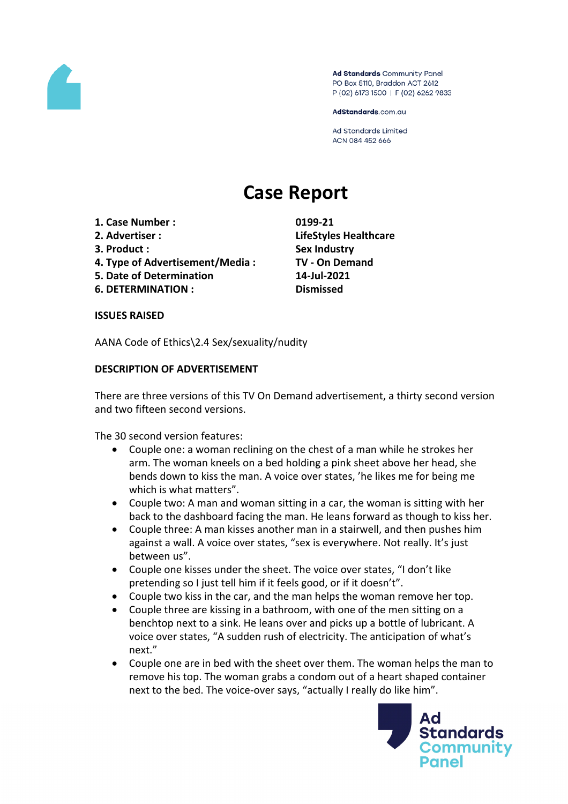

Ad Standards Community Panel PO Box 5110, Braddon ACT 2612 P (02) 6173 1500 | F (02) 6262 9833

AdStandards.com.au

**Ad Standards Limited** ACN 084 452 666

# **Case Report**

- **1. Case Number : 0199-21**
- 
- 
- **4. Type of Advertisement/Media : TV - On Demand**
- **5. Date of Determination 14-Jul-2021**
- **6. DETERMINATION : Dismissed**

**2. Advertiser : LifeStyles Healthcare 3. Product : Sex Industry**

## **ISSUES RAISED**

AANA Code of Ethics\2.4 Sex/sexuality/nudity

## **DESCRIPTION OF ADVERTISEMENT**

There are three versions of this TV On Demand advertisement, a thirty second version and two fifteen second versions.

The 30 second version features:

- Couple one: a woman reclining on the chest of a man while he strokes her arm. The woman kneels on a bed holding a pink sheet above her head, she bends down to kiss the man. A voice over states, 'he likes me for being me which is what matters".
- Couple two: A man and woman sitting in a car, the woman is sitting with her back to the dashboard facing the man. He leans forward as though to kiss her.
- Couple three: A man kisses another man in a stairwell, and then pushes him against a wall. A voice over states, "sex is everywhere. Not really. It's just between us".
- Couple one kisses under the sheet. The voice over states, "I don't like pretending so I just tell him if it feels good, or if it doesn't".
- Couple two kiss in the car, and the man helps the woman remove her top.
- Couple three are kissing in a bathroom, with one of the men sitting on a benchtop next to a sink. He leans over and picks up a bottle of lubricant. A voice over states, "A sudden rush of electricity. The anticipation of what's next."
- Couple one are in bed with the sheet over them. The woman helps the man to remove his top. The woman grabs a condom out of a heart shaped container next to the bed. The voice-over says, "actually I really do like him".

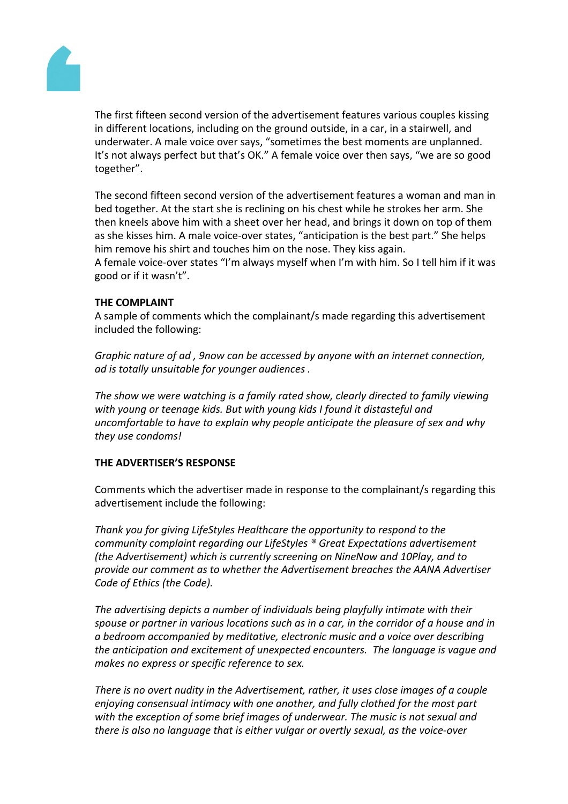

The first fifteen second version of the advertisement features various couples kissing in different locations, including on the ground outside, in a car, in a stairwell, and underwater. A male voice over says, "sometimes the best moments are unplanned. It's not always perfect but that's OK." A female voice over then says, "we are so good together".

The second fifteen second version of the advertisement features a woman and man in bed together. At the start she is reclining on his chest while he strokes her arm. She then kneels above him with a sheet over her head, and brings it down on top of them as she kisses him. A male voice-over states, "anticipation is the best part." She helps him remove his shirt and touches him on the nose. They kiss again.

A female voice-over states "I'm always myself when I'm with him. So I tell him if it was good or if it wasn't".

## **THE COMPLAINT**

A sample of comments which the complainant/s made regarding this advertisement included the following:

*Graphic nature of ad , 9now can be accessed by anyone with an internet connection, ad is totally unsuitable for younger audiences .*

*The show we were watching is a family rated show, clearly directed to family viewing with young or teenage kids. But with young kids I found it distasteful and uncomfortable to have to explain why people anticipate the pleasure of sex and why they use condoms!*

## **THE ADVERTISER'S RESPONSE**

Comments which the advertiser made in response to the complainant/s regarding this advertisement include the following:

*Thank you for giving LifeStyles Healthcare the opportunity to respond to the community complaint regarding our LifeStyles ® Great Expectations advertisement (the Advertisement) which is currently screening on NineNow and 10Play, and to provide our comment as to whether the Advertisement breaches the AANA Advertiser Code of Ethics (the Code).*

*The advertising depicts a number of individuals being playfully intimate with their spouse or partner in various locations such as in a car, in the corridor of a house and in a bedroom accompanied by meditative, electronic music and a voice over describing the anticipation and excitement of unexpected encounters. The language is vague and makes no express or specific reference to sex.*

*There is no overt nudity in the Advertisement, rather, it uses close images of a couple enjoying consensual intimacy with one another, and fully clothed for the most part with the exception of some brief images of underwear. The music is not sexual and there is also no language that is either vulgar or overtly sexual, as the voice-over*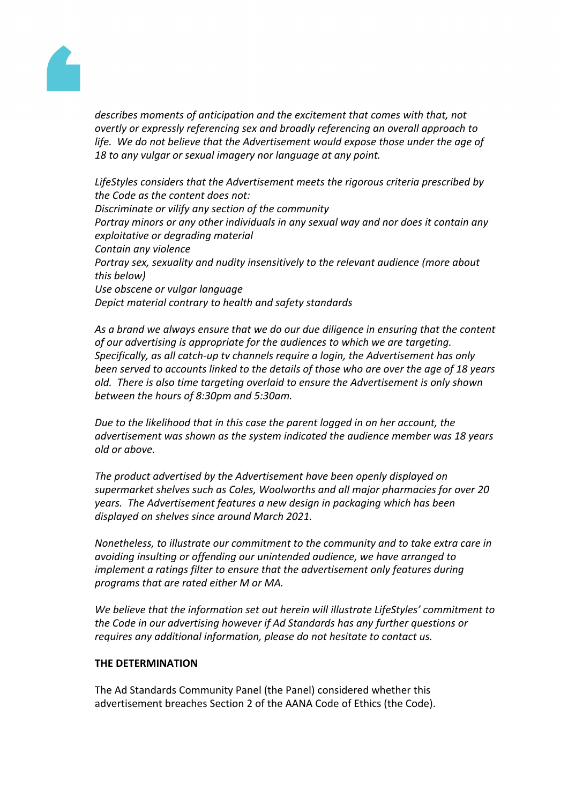

*describes moments of anticipation and the excitement that comes with that, not overtly or expressly referencing sex and broadly referencing an overall approach to life. We do not believe that the Advertisement would expose those under the age of 18 to any vulgar or sexual imagery nor language at any point.*

*LifeStyles considers that the Advertisement meets the rigorous criteria prescribed by the Code as the content does not: Discriminate or vilify any section of the community Portray minors or any other individuals in any sexual way and nor does it contain any exploitative or degrading material Contain any violence Portray sex, sexuality and nudity insensitively to the relevant audience (more about this below) Use obscene or vulgar language Depict material contrary to health and safety standards*

*As a brand we always ensure that we do our due diligence in ensuring that the content of our advertising is appropriate for the audiences to which we are targeting. Specifically, as all catch-up tv channels require a login, the Advertisement has only been served to accounts linked to the details of those who are over the age of 18 years old. There is also time targeting overlaid to ensure the Advertisement is only shown between the hours of 8:30pm and 5:30am.*

*Due to the likelihood that in this case the parent logged in on her account, the advertisement was shown as the system indicated the audience member was 18 years old or above.*

*The product advertised by the Advertisement have been openly displayed on supermarket shelves such as Coles, Woolworths and all major pharmacies for over 20 years. The Advertisement features a new design in packaging which has been displayed on shelves since around March 2021.*

*Nonetheless, to illustrate our commitment to the community and to take extra care in avoiding insulting or offending our unintended audience, we have arranged to implement a ratings filter to ensure that the advertisement only features during programs that are rated either M or MA.*

*We believe that the information set out herein will illustrate LifeStyles' commitment to the Code in our advertising however if Ad Standards has any further questions or requires any additional information, please do not hesitate to contact us.*

## **THE DETERMINATION**

The Ad Standards Community Panel (the Panel) considered whether this advertisement breaches Section 2 of the AANA Code of Ethics (the Code).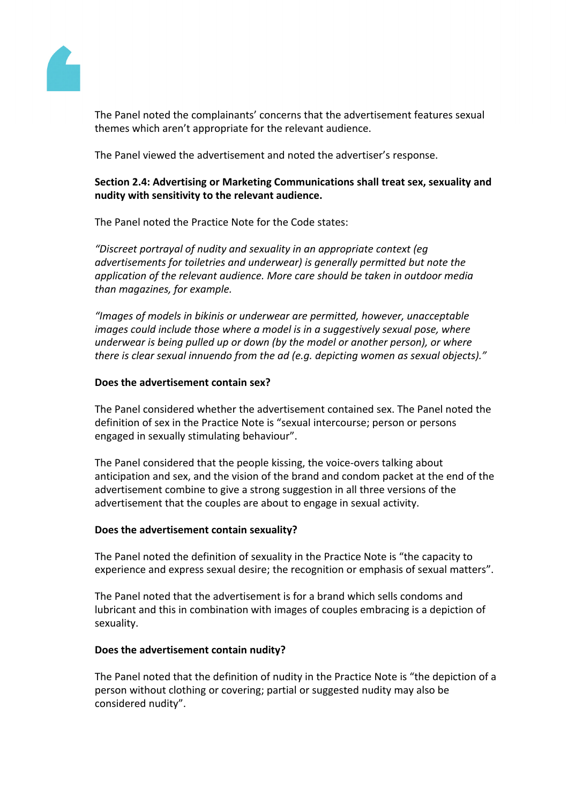

The Panel noted the complainants' concerns that the advertisement features sexual themes which aren't appropriate for the relevant audience.

The Panel viewed the advertisement and noted the advertiser's response.

## **Section 2.4: Advertising or Marketing Communications shall treat sex, sexuality and nudity with sensitivity to the relevant audience.**

The Panel noted the Practice Note for the Code states:

*"Discreet portrayal of nudity and sexuality in an appropriate context (eg advertisements for toiletries and underwear) is generally permitted but note the application of the relevant audience. More care should be taken in outdoor media than magazines, for example.*

*"Images of models in bikinis or underwear are permitted, however, unacceptable images could include those where a model is in a suggestively sexual pose, where underwear is being pulled up or down (by the model or another person), or where there is clear sexual innuendo from the ad (e.g. depicting women as sexual objects)."*

## **Does the advertisement contain sex?**

The Panel considered whether the advertisement contained sex. The Panel noted the definition of sex in the Practice Note is "sexual intercourse; person or persons engaged in sexually stimulating behaviour".

The Panel considered that the people kissing, the voice-overs talking about anticipation and sex, and the vision of the brand and condom packet at the end of the advertisement combine to give a strong suggestion in all three versions of the advertisement that the couples are about to engage in sexual activity.

## **Does the advertisement contain sexuality?**

The Panel noted the definition of sexuality in the Practice Note is "the capacity to experience and express sexual desire; the recognition or emphasis of sexual matters".

The Panel noted that the advertisement is for a brand which sells condoms and lubricant and this in combination with images of couples embracing is a depiction of sexuality.

## **Does the advertisement contain nudity?**

The Panel noted that the definition of nudity in the Practice Note is "the depiction of a person without clothing or covering; partial or suggested nudity may also be considered nudity".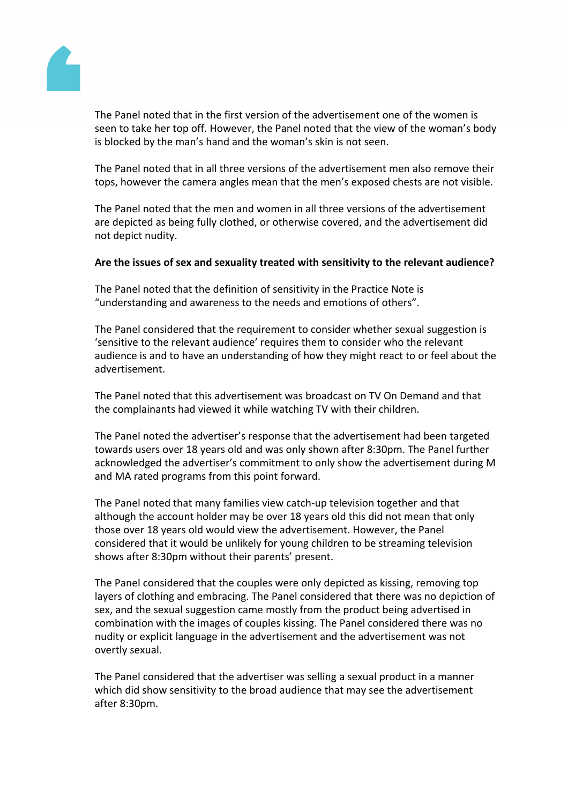

The Panel noted that in the first version of the advertisement one of the women is seen to take her top off. However, the Panel noted that the view of the woman's body is blocked by the man's hand and the woman's skin is not seen.

The Panel noted that in all three versions of the advertisement men also remove their tops, however the camera angles mean that the men's exposed chests are not visible.

The Panel noted that the men and women in all three versions of the advertisement are depicted as being fully clothed, or otherwise covered, and the advertisement did not depict nudity.

## **Are the issues of sex and sexuality treated with sensitivity to the relevant audience?**

The Panel noted that the definition of sensitivity in the Practice Note is "understanding and awareness to the needs and emotions of others".

The Panel considered that the requirement to consider whether sexual suggestion is 'sensitive to the relevant audience' requires them to consider who the relevant audience is and to have an understanding of how they might react to or feel about the advertisement.

The Panel noted that this advertisement was broadcast on TV On Demand and that the complainants had viewed it while watching TV with their children.

The Panel noted the advertiser's response that the advertisement had been targeted towards users over 18 years old and was only shown after 8:30pm. The Panel further acknowledged the advertiser's commitment to only show the advertisement during M and MA rated programs from this point forward.

The Panel noted that many families view catch-up television together and that although the account holder may be over 18 years old this did not mean that only those over 18 years old would view the advertisement. However, the Panel considered that it would be unlikely for young children to be streaming television shows after 8:30pm without their parents' present.

The Panel considered that the couples were only depicted as kissing, removing top layers of clothing and embracing. The Panel considered that there was no depiction of sex, and the sexual suggestion came mostly from the product being advertised in combination with the images of couples kissing. The Panel considered there was no nudity or explicit language in the advertisement and the advertisement was not overtly sexual.

The Panel considered that the advertiser was selling a sexual product in a manner which did show sensitivity to the broad audience that may see the advertisement after 8:30pm.